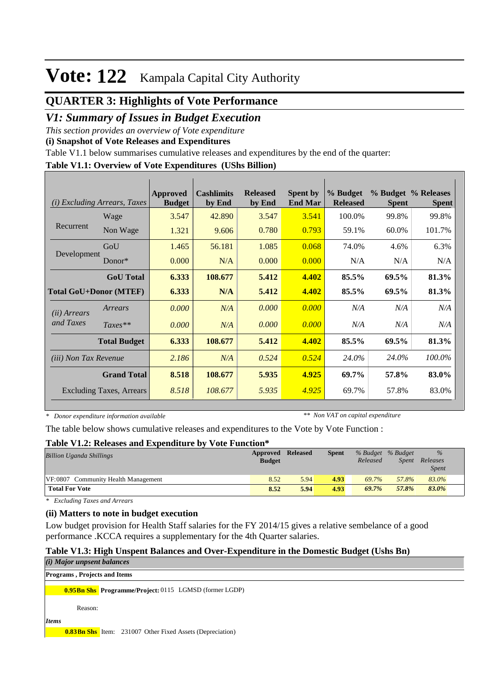### **QUARTER 3: Highlights of Vote Performance**

### *V1: Summary of Issues in Budget Execution*

*This section provides an overview of Vote expenditure* 

**(i) Snapshot of Vote Releases and Expenditures**

Table V1.1 below summarises cumulative releases and expenditures by the end of the quarter:

#### **Table V1.1: Overview of Vote Expenditures (UShs Billion)**

| (i)                          | <i>Excluding Arrears, Taxes</i> | Approved<br><b>Budget</b> | <b>Cashlimits</b><br>by End | <b>Released</b><br>by End | <b>Spent by</b><br><b>End Mar</b> | % Budget<br><b>Released</b> | <b>Spent</b> | % Budget % Releases<br><b>Spent</b> |
|------------------------------|---------------------------------|---------------------------|-----------------------------|---------------------------|-----------------------------------|-----------------------------|--------------|-------------------------------------|
|                              | Wage                            | 3.547                     | 42.890                      | 3.547                     | 3.541                             | 100.0%                      | 99.8%        | 99.8%                               |
| Recurrent                    | Non Wage                        | 1.321                     | 9.606                       | 0.780                     | 0.793                             | 59.1%                       | 60.0%        | 101.7%                              |
|                              | GoU                             | 1.465                     | 56.181                      | 1.085                     | 0.068                             | 74.0%                       | 4.6%         | 6.3%                                |
| Development                  | $Donor*$                        | 0.000                     | N/A                         | 0.000                     | 0.000                             | N/A                         | N/A          | N/A                                 |
|                              | <b>GoU</b> Total                | 6.333                     | 108.677                     | 5.412                     | 4.402                             | 85.5%                       | 69.5%        | 81.3%                               |
|                              | <b>Total GoU+Donor (MTEF)</b>   | 6.333                     | N/A                         | 5.412                     | 4.402                             | 85.5%                       | 69.5%        | 81.3%                               |
| ( <i>ii</i> ) Arrears        | Arrears                         | 0.000                     | N/A                         | 0.000                     | 0.000                             | N/A                         | N/A          | N/A                                 |
| and Taxes                    | $Taxes**$                       | 0.000                     | N/A                         | 0.000                     | 0.000                             | N/A                         | N/A          | N/A                                 |
|                              | <b>Total Budget</b>             | 6.333                     | 108.677                     | 5.412                     | 4.402                             | 85.5%                       | 69.5%        | 81.3%                               |
| <i>(iii)</i> Non Tax Revenue |                                 | 2.186                     | N/A                         | 0.524                     | 0.524                             | 24.0%                       | 24.0%        | 100.0%                              |
|                              | <b>Grand Total</b>              | 8.518                     | 108.677                     | 5.935                     | 4.925                             | 69.7%                       | 57.8%        | 83.0%                               |
|                              | <b>Excluding Taxes, Arrears</b> | 8.518                     | 108.677                     | 5.935                     | 4.925                             | 69.7%                       | 57.8%        | 83.0%                               |

*\* Donor expenditure information available*

*\*\* Non VAT on capital expenditure*

The table below shows cumulative releases and expenditures to the Vote by Vote Function :

#### **Table V1.2: Releases and Expenditure by Vote Function\***

| <b>Billion Uganda Shillings</b>     | Approved Released<br><b>Budget</b> |      | <b>Spent</b> | % Budget % Budget<br>Released | Spent | $\%$<br>Releases<br><i>Spent</i> |
|-------------------------------------|------------------------------------|------|--------------|-------------------------------|-------|----------------------------------|
| VF:0807 Community Health Management | 8.52                               | 5.94 | 4.93         | 69.7%                         | 57.8% | 83.0%                            |
| <b>Total For Vote</b>               | 8.52                               | 5.94 | 4.93         | 69.7%                         | 57.8% | 83.0%                            |

*\* Excluding Taxes and Arrears*

### **(ii) Matters to note in budget execution**

Low budget provision for Health Staff salaries for the FY 2014/15 gives a relative sembelance of a good performance .KCCA requires a supplementary for the 4th Quarter salaries.

#### **Table V1.3: High Unspent Balances and Over-Expenditure in the Domestic Budget (Ushs Bn)**

| $(i)$ Major unpsent balances                                     |  |
|------------------------------------------------------------------|--|
| <b>Programs, Projects and Items</b>                              |  |
| <b>0.95Bn Shs</b> Programme/Project: 0115 LGMSD (former LGDP)    |  |
| Reason:                                                          |  |
| <i>Items</i>                                                     |  |
| <b>0.83Bn Shs</b> Item: 231007 Other Fixed Assets (Depreciation) |  |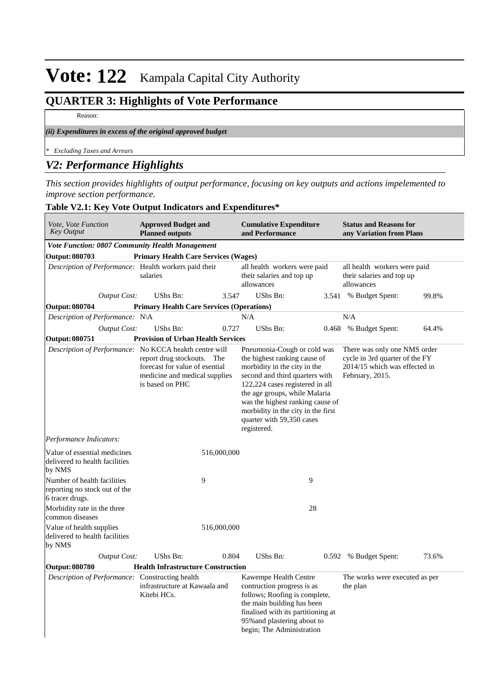## **QUARTER 3: Highlights of Vote Performance**

Reason:

### *(ii) Expenditures in excess of the original approved budget*

*\* Excluding Taxes and Arrears*

### *V2: Performance Highlights*

*This section provides highlights of output performance, focusing on key outputs and actions impelemented to improve section performance.*

| Vote, Vote Function<br><b>Key Output</b>                                        | <b>Approved Budget and</b><br><b>Planned outputs</b>                                                             |             | <b>Cumulative Expenditure</b><br>and Performance                                                                                                                                                                                                                                                                        |    | <b>Status and Reasons for</b><br>any Variation from Plans                                                          |       |
|---------------------------------------------------------------------------------|------------------------------------------------------------------------------------------------------------------|-------------|-------------------------------------------------------------------------------------------------------------------------------------------------------------------------------------------------------------------------------------------------------------------------------------------------------------------------|----|--------------------------------------------------------------------------------------------------------------------|-------|
| <b>Vote Function: 0807 Community Health Management</b>                          |                                                                                                                  |             |                                                                                                                                                                                                                                                                                                                         |    |                                                                                                                    |       |
| Output: 080703                                                                  | <b>Primary Health Care Services (Wages)</b>                                                                      |             |                                                                                                                                                                                                                                                                                                                         |    |                                                                                                                    |       |
| Description of Performance: Health workers paid their                           | salaries                                                                                                         |             | all health workers were paid<br>their salaries and top up<br>allowances                                                                                                                                                                                                                                                 |    | all health workers were paid<br>their salaries and top up<br>allowances                                            |       |
| Output Cost:                                                                    | UShs Bn:                                                                                                         | 3.547       | UShs Bn:                                                                                                                                                                                                                                                                                                                |    | 3.541 % Budget Spent:                                                                                              | 99.8% |
| <b>Output: 080704</b>                                                           | <b>Primary Health Care Services (Operations)</b>                                                                 |             |                                                                                                                                                                                                                                                                                                                         |    |                                                                                                                    |       |
| Description of Performance: N\A                                                 |                                                                                                                  |             | N/A                                                                                                                                                                                                                                                                                                                     |    | N/A                                                                                                                |       |
| <b>Output Cost:</b>                                                             | UShs Bn:                                                                                                         | 0.727       | UShs Bn:                                                                                                                                                                                                                                                                                                                |    | 0.468 % Budget Spent:                                                                                              | 64.4% |
| <b>Output: 080751</b>                                                           | <b>Provision of Urban Health Services</b>                                                                        |             |                                                                                                                                                                                                                                                                                                                         |    |                                                                                                                    |       |
| Description of Performance: No KCCA heakth centre will                          | report drug stockouts. The<br>forecast for value of esential<br>medicine and medical supplies<br>is based on PHC |             | Pneumonia-Cough or cold was<br>the highest ranking cause of<br>morbidity in the city in the<br>second and third quarters with<br>122,224 cases registered in all<br>the age groups, while Malaria<br>was the highest ranking cause of<br>morbidity in the city in the first<br>quarter with 59,350 cases<br>registered. |    | There was only one NMS order<br>cycle in 3rd quarter of the FY<br>2014/15 which was effected in<br>February, 2015. |       |
| Performance Indicators:                                                         |                                                                                                                  |             |                                                                                                                                                                                                                                                                                                                         |    |                                                                                                                    |       |
| Value of essential medicines<br>delivered to health facilities<br>by NMS        |                                                                                                                  | 516,000,000 |                                                                                                                                                                                                                                                                                                                         |    |                                                                                                                    |       |
| Number of health facilities<br>reporting no stock out of the<br>6 tracer drugs. | 9                                                                                                                |             |                                                                                                                                                                                                                                                                                                                         | 9  |                                                                                                                    |       |
| Morbidity rate in the three<br>common diseases                                  |                                                                                                                  |             |                                                                                                                                                                                                                                                                                                                         | 28 |                                                                                                                    |       |
| Value of health supplies<br>delivered to health facilities<br>by NMS            |                                                                                                                  | 516,000,000 |                                                                                                                                                                                                                                                                                                                         |    |                                                                                                                    |       |
| <b>Output Cost:</b>                                                             | UShs Bn:                                                                                                         | 0.804       | UShs Bn:                                                                                                                                                                                                                                                                                                                |    | 0.592 % Budget Spent:                                                                                              | 73.6% |
| <b>Output: 080780</b>                                                           | <b>Health Infrastructure Construction</b>                                                                        |             |                                                                                                                                                                                                                                                                                                                         |    |                                                                                                                    |       |
| Description of Performance: Constructing health                                 | infrastructure at Kawaala and<br>Kitebi HCs.                                                                     |             | Kawempe Health Centre<br>contruction progress is as<br>follows; Roofing is complete,<br>the main building has been<br>finalised with its partitioning at<br>95% and plastering about to<br>begin; The Administration                                                                                                    |    | The works were executed as per<br>the plan                                                                         |       |

### **Table V2.1: Key Vote Output Indicators and Expenditures\***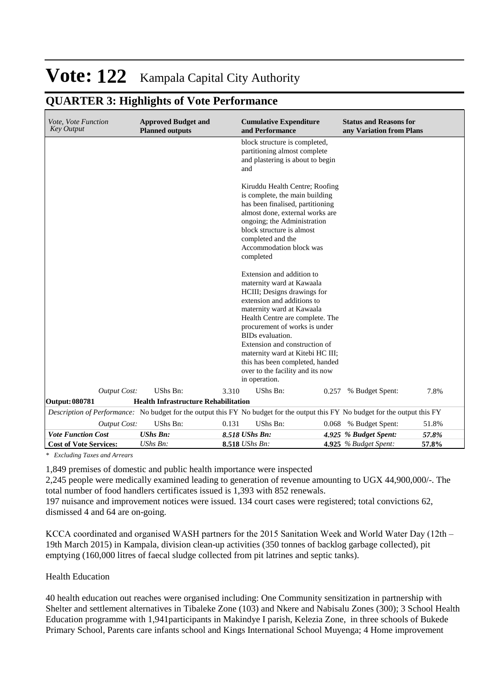## **QUARTER 3: Highlights of Vote Performance**

| Vote, Vote Function<br><b>Key Output</b>                   | <b>Approved Budget and</b><br><b>Planned outputs</b> |       | <b>Cumulative Expenditure</b><br>and Performance                                                                                                                                                                                                                                                                                                                                                      | <b>Status and Reasons for</b><br>any Variation from Plans |                |
|------------------------------------------------------------|------------------------------------------------------|-------|-------------------------------------------------------------------------------------------------------------------------------------------------------------------------------------------------------------------------------------------------------------------------------------------------------------------------------------------------------------------------------------------------------|-----------------------------------------------------------|----------------|
|                                                            |                                                      |       | block structure is completed,<br>partitioning almost complete<br>and plastering is about to begin<br>and                                                                                                                                                                                                                                                                                              |                                                           |                |
|                                                            |                                                      |       | Kiruddu Health Centre; Roofing<br>is complete, the main building<br>has been finalised, partitioning<br>almost done, external works are<br>ongoing; the Administration<br>block structure is almost<br>completed and the<br>Accommodation block was<br>completed                                                                                                                                      |                                                           |                |
|                                                            |                                                      |       | Extension and addition to<br>maternity ward at Kawaala<br>HCIII; Designs drawings for<br>extension and additions to<br>maternity ward at Kawaala<br>Health Centre are complete. The<br>procurement of works is under<br>BIDs evaluation.<br>Extension and construction of<br>maternity ward at Kitebi HC III;<br>this has been completed, handed<br>over to the facility and its now<br>in operation. |                                                           |                |
| <b>Output Cost:</b>                                        | UShs Bn:                                             | 3.310 | UShs Bn:<br>0.257                                                                                                                                                                                                                                                                                                                                                                                     | % Budget Spent:                                           | 7.8%           |
| Output: 080781                                             | <b>Health Infrastructure Rehabilitation</b>          |       |                                                                                                                                                                                                                                                                                                                                                                                                       |                                                           |                |
|                                                            |                                                      |       | Description of Performance: No budget for the output this FY No budget for the output this FY No budget for the output this FY                                                                                                                                                                                                                                                                        |                                                           |                |
| <b>Output Cost:</b>                                        | UShs Bn:                                             | 0.131 | UShs Bn:<br>0.068                                                                                                                                                                                                                                                                                                                                                                                     | % Budget Spent:                                           | 51.8%          |
| <b>Vote Function Cost</b><br><b>Cost of Vote Services:</b> | <b>UShs Bn:</b><br>UShs Bn:                          |       | 8.518 UShs Bn:<br>8.518 UShs Bn:                                                                                                                                                                                                                                                                                                                                                                      | 4.925 % Budget Spent:<br>4.925 $%$ Budget Spent:          | 57.8%<br>57.8% |

*\* Excluding Taxes and Arrears*

1,849 premises of domestic and public health importance were inspected

2,245 people were medically examined leading to generation of revenue amounting to UGX 44,900,000/-. The total number of food handlers certificates issued is 1,393 with 852 renewals.

197 nuisance and improvement notices were issued. 134 court cases were registered; total convictions 62, dismissed 4 and 64 are on-going.

KCCA coordinated and organised WASH partners for the 2015 Sanitation Week and World Water Day (12th – 19th March 2015) in Kampala, division clean-up activities (350 tonnes of backlog garbage collected), pit emptying (160,000 litres of faecal sludge collected from pit latrines and septic tanks).

#### Health Education

40 health education out reaches were organised including: One Community sensitization in partnership with Shelter and settlement alternatives in Tibaleke Zone (103) and Nkere and Nabisalu Zones (300); 3 School Health Education programme with 1,941participants in Makindye I parish, Kelezia Zone, in three schools of Bukede Primary School, Parents care infants school and Kings International School Muyenga; 4 Home improvement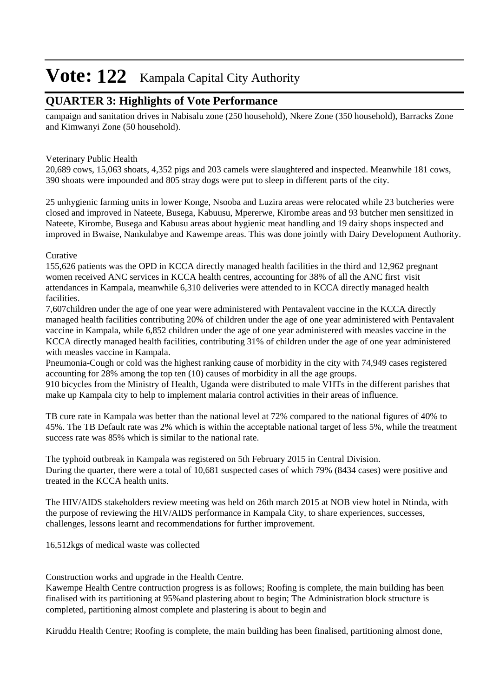### **QUARTER 3: Highlights of Vote Performance**

campaign and sanitation drives in Nabisalu zone (250 household), Nkere Zone (350 household), Barracks Zone and Kimwanyi Zone (50 household).

### Veterinary Public Health

20,689 cows, 15,063 shoats, 4,352 pigs and 203 camels were slaughtered and inspected. Meanwhile 181 cows, 390 shoats were impounded and 805 stray dogs were put to sleep in different parts of the city.

25 unhygienic farming units in lower Konge, Nsooba and Luzira areas were relocated while 23 butcheries were closed and improved in Nateete, Busega, Kabuusu, Mpererwe, Kirombe areas and 93 butcher men sensitized in Nateete, Kirombe, Busega and Kabusu areas about hygienic meat handling and 19 dairy shops inspected and improved in Bwaise, Nankulabye and Kawempe areas. This was done jointly with Dairy Development Authority.

### Curative

155,626 patients was the OPD in KCCA directly managed health facilities in the third and 12,962 pregnant women received ANC services in KCCA health centres, accounting for 38% of all the ANC first visit attendances in Kampala, meanwhile 6,310 deliveries were attended to in KCCA directly managed health facilities.

7,607children under the age of one year were administered with Pentavalent vaccine in the KCCA directly managed health facilities contributing 20% of children under the age of one year administered with Pentavalent vaccine in Kampala, while 6,852 children under the age of one year administered with measles vaccine in the KCCA directly managed health facilities, contributing 31% of children under the age of one year administered with measles vaccine in Kampala.

Pneumonia-Cough or cold was the highest ranking cause of morbidity in the city with 74,949 cases registered accounting for 28% among the top ten (10) causes of morbidity in all the age groups.

910 bicycles from the Ministry of Health, Uganda were distributed to male VHTs in the different parishes that make up Kampala city to help to implement malaria control activities in their areas of influence.

TB cure rate in Kampala was better than the national level at 72% compared to the national figures of 40% to 45%. The TB Default rate was 2% which is within the acceptable national target of less 5%, while the treatment success rate was 85% which is similar to the national rate.

The typhoid outbreak in Kampala was registered on 5th February 2015 in Central Division. During the quarter, there were a total of 10,681 suspected cases of which 79% (8434 cases) were positive and treated in the KCCA health units.

The HIV/AIDS stakeholders review meeting was held on 26th march 2015 at NOB view hotel in Ntinda, with the purpose of reviewing the HIV/AIDS performance in Kampala City, to share experiences, successes, challenges, lessons learnt and recommendations for further improvement.

16,512kgs of medical waste was collected

Construction works and upgrade in the Health Centre.

Kawempe Health Centre contruction progress is as follows; Roofing is complete, the main building has been finalised with its partitioning at 95%and plastering about to begin; The Administration block structure is completed, partitioning almost complete and plastering is about to begin and

Kiruddu Health Centre; Roofing is complete, the main building has been finalised, partitioning almost done,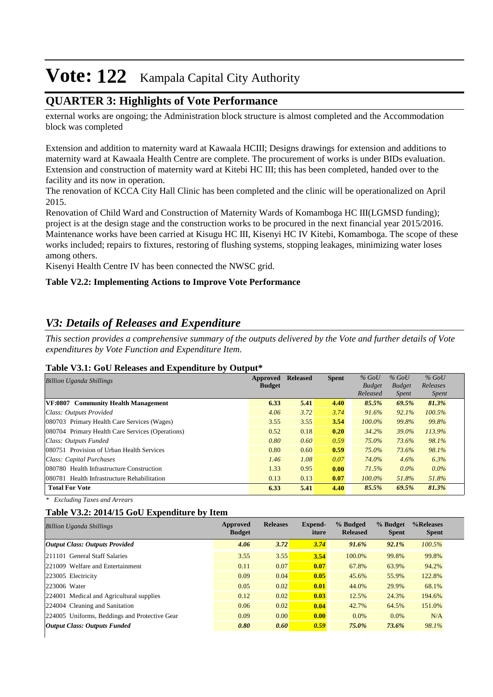### **QUARTER 3: Highlights of Vote Performance**

external works are ongoing; the Administration block structure is almost completed and the Accommodation block was completed

Extension and addition to maternity ward at Kawaala HCIII; Designs drawings for extension and additions to maternity ward at Kawaala Health Centre are complete. The procurement of works is under BIDs evaluation. Extension and construction of maternity ward at Kitebi HC III; this has been completed, handed over to the facility and its now in operation.

The renovation of KCCA City Hall Clinic has been completed and the clinic will be operationalized on April 2015.

Renovation of Child Ward and Construction of Maternity Wards of Komamboga HC III(LGMSD funding); project is at the design stage and the construction works to be procured in the next financial year 2015/2016. Maintenance works have been carried at Kisugu HC III, Kisenyi HC IV Kitebi, Komamboga. The scope of these works included; repairs to fixtures, restoring of flushing systems, stopping leakages, minimizing water loses among others.

Kisenyi Health Centre IV has been connected the NWSC grid.

### **Table V2.2: Implementing Actions to Improve Vote Performance**

### *V3: Details of Releases and Expenditure*

*This section provides a comprehensive summary of the outputs delivered by the Vote and further details of Vote expenditures by Vote Function and Expenditure Item.*

#### **Table V3.1: GoU Releases and Expenditure by Output\***

| <b>Billion Uganda Shillings</b>                  | Approved<br><b>Budget</b> | <b>Released</b> | <b>Spent</b> | $%$ GoU<br><b>Budget</b><br>Released | $%$ GoU<br><b>Budget</b><br><i>Spent</i> | $%$ GoU<br>Releases<br><i>Spent</i> |
|--------------------------------------------------|---------------------------|-----------------|--------------|--------------------------------------|------------------------------------------|-------------------------------------|
| VF:0807 Community Health Management              | 6.33                      | 5.41            | 4.40         | 85.5%                                | 69.5%                                    | 81.3%                               |
| Class: Outputs Provided                          | 4.06                      | 3.72            | 3.74         | 91.6%                                | 92.1%                                    | 100.5%                              |
| 080703 Primary Health Care Services (Wages)      | 3.55                      | 3.55            | 3.54         | $100.0\%$                            | 99.8%                                    | 99.8%                               |
| 080704 Primary Health Care Services (Operations) | 0.52                      | 0.18            | 0.20         | 34.2%                                | 39.0%                                    | 113.9%                              |
| Class: Outputs Funded                            | 0.80                      | 0.60            | 0.59         | 75.0%                                | 73.6%                                    | 98.1%                               |
| 080751 Provision of Urban Health Services        | 0.80                      | 0.60            | 0.59         | 75.0%                                | 73.6%                                    | 98.1%                               |
| Class: Capital Purchases                         | 1.46                      | 1.08            | 0.07         | 74.0%                                | 4.6%                                     | 6.3%                                |
| 080780 Health Infrastructure Construction        | 1.33                      | 0.95            | 0.00         | 71.5%                                | $0.0\%$                                  | $0.0\%$                             |
| 080781 Health Infrastructure Rehabilitation      | 0.13                      | 0.13            | 0.07         | $100.0\%$                            | 51.8%                                    | 51.8%                               |
| <b>Total For Vote</b>                            | 6.33                      | 5.41            | 4.40         | 85.5%                                | 69.5%                                    | 81.3%                               |

*\* Excluding Taxes and Arrears*

#### **Table V3.2: 2014/15 GoU Expenditure by Item**

| 3.72<br>4.06<br>3.74<br>92.1%<br><b>Output Class: Outputs Provided</b><br>91.6%<br>3.54<br>3.55<br>211101 General Staff Salaries<br>3.55<br>100.0%<br>99.8%<br>0.07<br>0.07<br>221009 Welfare and Entertainment<br>67.8%<br>63.9%<br>0.11<br>0.04<br>0.05<br>0.09<br>55.9%<br>223005 Electricity<br>45.6%<br>223006 Water<br>0.05<br>0.02<br>0.01<br>44.0%<br>29.9%<br>0.03<br>0.12<br>0.02<br>12.5%<br>24.3%<br>224001 Medical and Agricultural supplies<br>0.02<br>0.04<br>0.06<br>42.7%<br>224004 Cleaning and Sanitation<br>64.5% | <b>Billion Uganda Shillings</b> | Approved<br><b>Budget</b> | <b>Releases</b> | Expend-<br>iture | % Budged<br><b>Released</b> | % Budget<br><b>Spent</b> | %Releases<br><b>Spent</b> |
|---------------------------------------------------------------------------------------------------------------------------------------------------------------------------------------------------------------------------------------------------------------------------------------------------------------------------------------------------------------------------------------------------------------------------------------------------------------------------------------------------------------------------------------|---------------------------------|---------------------------|-----------------|------------------|-----------------------------|--------------------------|---------------------------|
|                                                                                                                                                                                                                                                                                                                                                                                                                                                                                                                                       |                                 |                           |                 |                  |                             |                          | 100.5%                    |
|                                                                                                                                                                                                                                                                                                                                                                                                                                                                                                                                       |                                 |                           |                 |                  |                             |                          | 99.8%                     |
|                                                                                                                                                                                                                                                                                                                                                                                                                                                                                                                                       |                                 |                           |                 |                  |                             |                          | 94.2%                     |
|                                                                                                                                                                                                                                                                                                                                                                                                                                                                                                                                       |                                 |                           |                 |                  |                             |                          | 122.8%                    |
|                                                                                                                                                                                                                                                                                                                                                                                                                                                                                                                                       |                                 |                           |                 |                  |                             |                          | 68.1%                     |
|                                                                                                                                                                                                                                                                                                                                                                                                                                                                                                                                       |                                 |                           |                 |                  |                             |                          | 194.6%                    |
|                                                                                                                                                                                                                                                                                                                                                                                                                                                                                                                                       |                                 |                           |                 |                  |                             |                          | 151.0%                    |
| 0.00<br>0.09<br>0.00<br>224005 Uniforms, Beddings and Protective Gear<br>$0.0\%$<br>$0.0\%$                                                                                                                                                                                                                                                                                                                                                                                                                                           |                                 |                           |                 |                  |                             |                          | N/A                       |
| 0.59<br>0.80<br>0.60<br>75.0%<br>73.6%<br><b>Output Class: Outputs Funded</b>                                                                                                                                                                                                                                                                                                                                                                                                                                                         |                                 |                           |                 |                  |                             |                          | 98.1%                     |